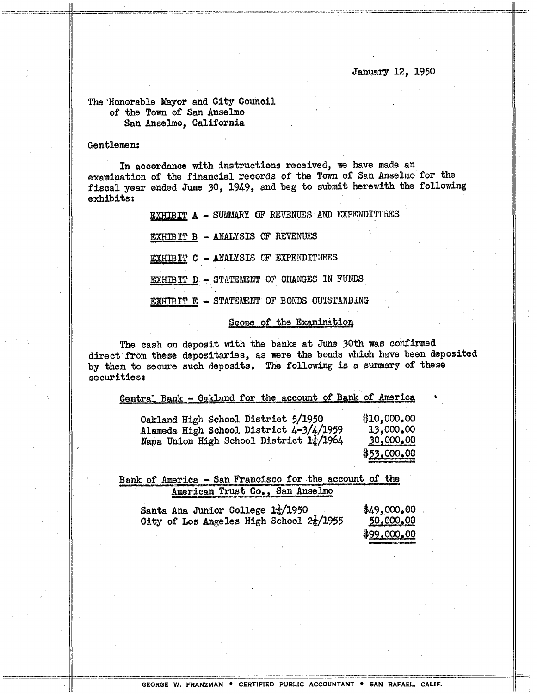#### January 12, 1950

### The 'Honorable Mayor and City Council of the Town of San Anselmo San Anselmo, California

#### Gentlemen:

In accordance with instructions received, we have made an examination of the financial records of the Town of San Anselmo for the fiscal year ended June 30, 1949, and beg to submit herewith the following exhibits:

EXHIBIT A - SUMMARY OF REVENUES AND EXPENDITURES

**EXHIBIT A - SUMMARY OF REVENUES AND 1**<br>
<u>EXHIBIT B</u> - ANALYSIS OF REVENUES<br>
<u>EXHIBIT</u> C - ANALYSIS OF EXPENDITURES EXHIBIT D - STATEMENT OF CHANGES IN FUNDS EXHIBIT E - STATEMENT OF BONDS OUTSTANDING

## Scope of the Examination

The cash on deposit with the banks at June 30th was confirmed direct' from these depositaries, as were the bonds which have been deposited by them to secure such deposits. The following is a summary of these securities:

| Central Bank - Oakland for the account of Bank of America |  |
|-----------------------------------------------------------|--|
|-----------------------------------------------------------|--|

| Oakland High School District 5/1950       | \$10,000,00      |
|-------------------------------------------|------------------|
| Alameda High School District $4-3/4/1959$ | 13,000.00        |
| Napa Union High School District 17/1964   | <u>30,000.00</u> |
|                                           | \$53,000,00      |

Bank of America - San Francisco for the account of the American Trust Co., San Anselmo

| Santa Ana Junior College $1\frac{1}{4}/1950$        |  | \$49,000,00      |
|-----------------------------------------------------|--|------------------|
| City of Los Angeles High School $2\frac{1}{4}/1955$ |  | <u>50,000,00</u> |
|                                                     |  | \$99,000,00      |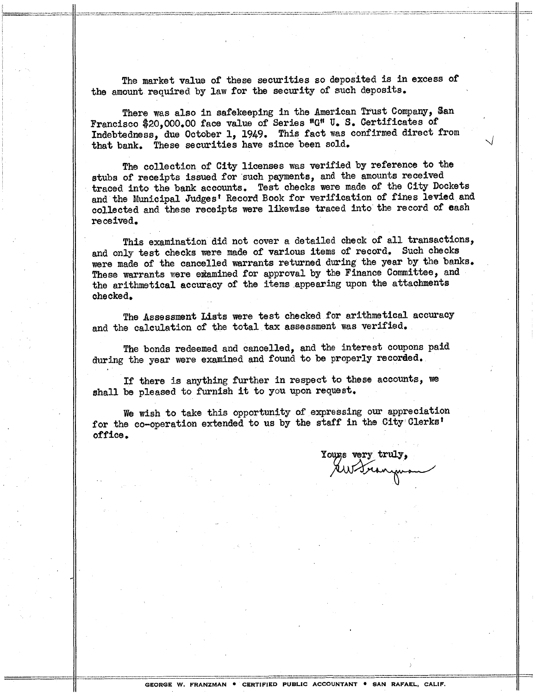The market value of these securities so deposited is in excess of the amount required by law for the security of such deposits.

There was also in safekeeping in the American Trust Company, San Francisco \$20,000.00 face value of Series "G" U.S. Certificates of Indebtedness, due October 1, 1949. This fact was confirmed direct from that bank. These securities have since been sold.

The collection of City licenses was verified by reference to the stubs of receipts issued for such payments, and the amounts received traced into the bank accounts. Test checks were made of the City Dockets and the Municipal Judges' Record Book for verification of fines levied and collected and these receipts were likewise traced into' the record of eash received.

This examination did not cover a detailed check of all transactions, and only test checks were made of various items of record. Such checks were made of the cancelled warrants returned during the year by the banks. These warrants were examined for approval by the Finance Committee, and the arithmetical accuracy of the items appearing upon the attachments checked.

The Assessment Lists were test checked for arithmetical accuracy and the calculation of the total tax assessment was verified.

The bonds redeemed and cancelled, and the interest coupons paid during the year were examined and found to be properly recorded.

If there is anything further in respect to these accounts, we shall be pleased to furnish it to you upon request.

We wish to take this opportunity of expressing our appreciation for the co-operation extended to us by the staff in the City Clerks' office.

Yours very truly, AW Granguan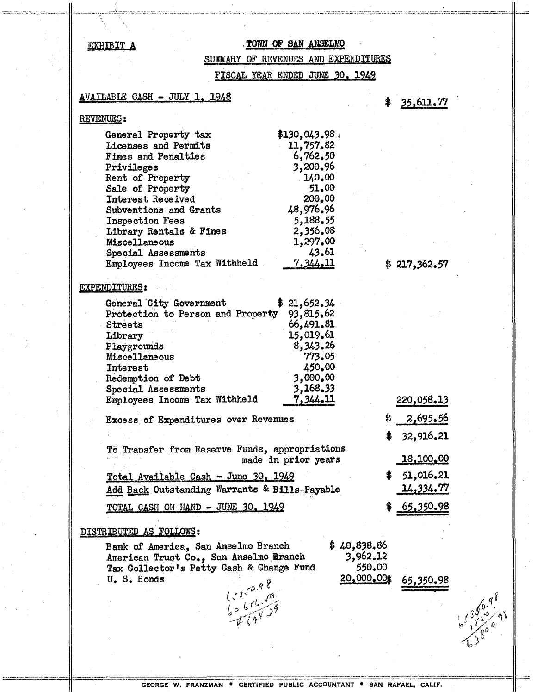#### EXHIBIT A

## TOWN OF SAN ANSELMO

SUMMARY OF REVENUES AND EXPENDITURES

FISCAL YEAR ENDED JUNE 30, 1949

#### AVAILABLE CASH - JULY 1, 1948

#### **REVENUES:**

| \$130,043,98    |
|-----------------|
| 11,757.82       |
| 6,762,50        |
| 3,200.96        |
| 140.00          |
| 51.00           |
| 200.00          |
| 48,976.96       |
| 5,188.55        |
| 2,356.08        |
| 1,297.00        |
| 43.61           |
| <u>7,344.11</u> |
|                 |

#### **EXPENDITURES:**

| General City Government           | \$21,652.34 |
|-----------------------------------|-------------|
| Protection to Person and Property | 93,815.62   |
| <b>Streets</b>                    | 66,491.81   |
| Library                           | 15,019.61   |
| Playgrounds                       | 8,343.26    |
| Miscellaneous                     | 773.05      |
| Interest                          | 450.00      |
| Redemption of Debt                | 3,000.00    |
| Special Assessments               | 3,168,33    |
| Employees Income Tax Withheld     | 7,344.11    |

Excess of Expenditures over Revenues

To Transfer from Reserve Funds, appropriations made in prior years

Total Available Cash - June 30, 1949 Add Back Outstanding Warrants & Bills-Payable

TOTAL CASH ON HAND - JUNE 30, 1949

#### DISTRIBUTED AS FOLLOWS:

Bank of America, San Anselmo Branch American Trust Co., San Anselmo Aranch Tax Collector's Petty Cash & Change Fund  $(5350.98)$ <br> $6065679$ U.S. Bonds

| \$40,838.86 |        |
|-------------|--------|
| 3,962.12    |        |
| 550.00      |        |
| 20,000,00\$ | 65.350 |

35,611.77 \$

 $$217,362.57$ 

220,058.13

2,695.56

32,916.21

18,100.00

51,016.21

14,334.77

65,350.98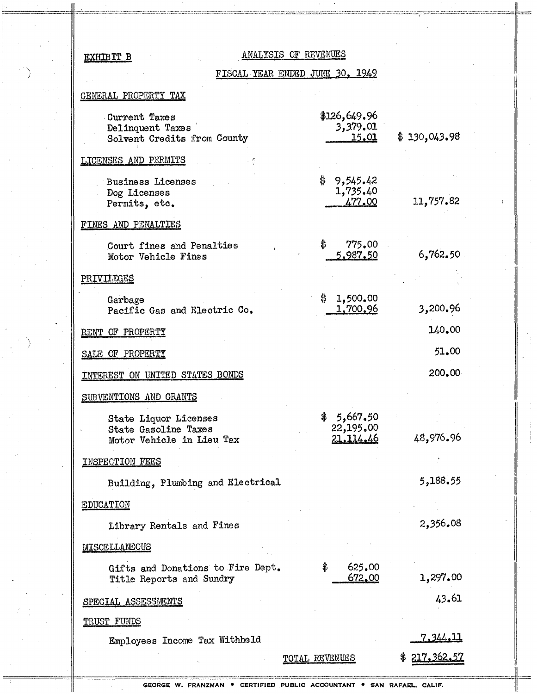## EXHIBIT B

## ANALYSIS OF REVENUES

FISCAL YEAR ENDED JUNE 30, 1949

## GENERAL PROPERTY TAX

| Current Taxes<br>Delinquent Taxes<br>Solvent Credits from County           | \$126,649.96<br>3,379.01<br><u>15.01</u> | \$130,043.98    |
|----------------------------------------------------------------------------|------------------------------------------|-----------------|
| LICENSES AND PERMITS                                                       |                                          |                 |
| <b>Business Licenses</b><br>Dog Licenses<br>Permits, etc.                  | \$<br>9,545.42<br>1,735.40<br>477.00     | 11,757.82       |
| FINES AND PENALTIES                                                        |                                          |                 |
| Court fines and Penalties<br>Motor Vehicle Fines                           | \$<br>775,00<br>5,987.50                 | 6,762,50        |
| PRIVILEGES                                                                 |                                          |                 |
| Garbage<br>Pacific Gas and Electric Co.                                    | 1,500.00<br>\$<br>1,700.96               | 3,200.96        |
| PROPERTY<br>RENT OF                                                        |                                          | 140.00          |
| SALE OF PROPERTY                                                           |                                          | 51.00           |
| INTEREST ON UNITED STATES BONDS                                            |                                          | 200.00          |
| SUBVENTIONS AND GRANTS                                                     |                                          |                 |
| State Liquor Licenses<br>State Gasoline Taxes<br>Motor Vehicle in Lieu Tax | \$<br>5,667.50<br>22,195.00<br>21,114.46 | 48,976.96       |
| INSPECTION FEES                                                            |                                          |                 |
| Building, Plumbing and Electrical                                          |                                          | 5,188.55        |
| <b>EDUCATION</b>                                                           |                                          |                 |
| Library Rentals and Fines                                                  |                                          | 2,356.08        |
| MISCELLANEOUS                                                              |                                          |                 |
| Gifts and Donations to Fire Dept.<br>Title Reports and Sundry              | \$<br>625.00<br>672.00                   | 1,297.00        |
| SPECIAL ASSESSMENTS                                                        |                                          | 43.61           |
| <b>TRUST FUNDS</b>                                                         |                                          |                 |
| Employees Income Tax Withheld                                              |                                          | <u>7.344.11</u> |
|                                                                            | TOTAL REVENUES                           | 217,362.5'      |

GEORGE W. FRANZMAN . CERTIFIED PUBLIC ACCOUNTANT . SAN RAFAEL, CALIF.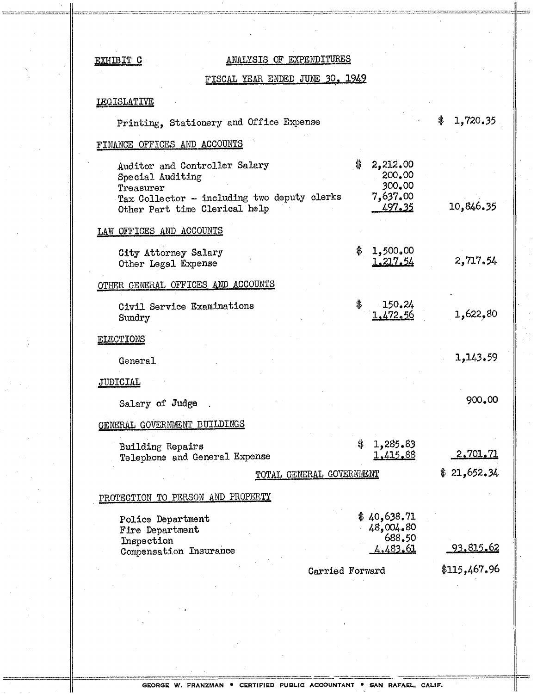# EXHIBIT C ANALYSIS OF EXPENDITURES

## FISCAL YEAR ENDED JUNE 30. 1949

## LEGISLATIVE

---------- ~.-~ ~~-~

-

| Printing, Stationery and Office Expense                                                                                                        |                                                                     | 1,720.35         |
|------------------------------------------------------------------------------------------------------------------------------------------------|---------------------------------------------------------------------|------------------|
| FINANCE OFFICES AND ACCOUNTS                                                                                                                   |                                                                     |                  |
| Auditor and Controller Salary<br>Special Auditing<br>Treasurer<br>Tax Collector - including two deputy clerks<br>Other Part time Clerical help | $\frac{4}{9}$<br>2,212.00<br>200.00<br>300.00<br>7,637.00<br>497.35 | 10,846.35        |
|                                                                                                                                                |                                                                     |                  |
| LAW OFFICES AND ACCOUNTS                                                                                                                       |                                                                     |                  |
| City Attorney Salary<br>Other Legal Expense                                                                                                    | \$<br>1,500.00<br>1,217.54                                          | 2,717.54         |
| OTHER GENERAL OFFICES AND ACCOUNTS                                                                                                             |                                                                     |                  |
| Civil Service Examinations<br>Sundry                                                                                                           | \$<br>150.24<br>1.472.56                                            | 1,622,80         |
| <b>ELECTIONS</b>                                                                                                                               |                                                                     |                  |
| General                                                                                                                                        |                                                                     | 1,143.59         |
| <b>JUDICIAL</b>                                                                                                                                |                                                                     |                  |
| Salary of Judge                                                                                                                                |                                                                     | 900.00           |
| GENERAL GOVERNMENT BUILDINGS                                                                                                                   |                                                                     |                  |
| Building Repairs<br>Telephone and General Expense                                                                                              | \$<br>1,285.83<br>1,415,88                                          | 2,701.71         |
| TOTAL GENERAL GOVERNMENT                                                                                                                       |                                                                     | \$21,652.34      |
| PROTECTION TO PERSON AND PROPERTY                                                                                                              |                                                                     |                  |
| Police Department<br>Fire Department<br>Inspection<br>Compensation Insurance                                                                   | 40,638.71<br>48,004.80<br>688.50<br>4.483.61                        | <u>93.815.62</u> |
|                                                                                                                                                |                                                                     | \$115,467.96     |
| Carried Forward                                                                                                                                |                                                                     |                  |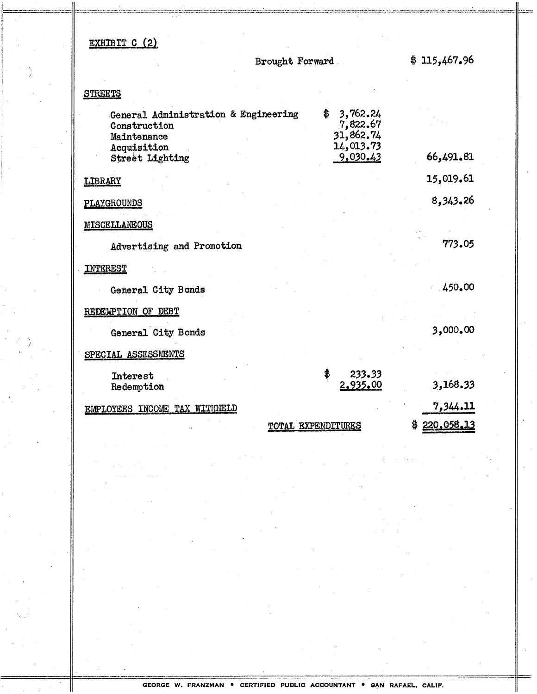# EXHIBIT C (2)

**Brought Forward** 

 $$115,467.96$ 

## **STREETS**

| General Administration & Engineering<br>Construction<br>Maintenance<br>Acquisition | \$                 | 3,762.24<br>7,822.67<br>31,862.74<br>14,013.73 |                         |
|------------------------------------------------------------------------------------|--------------------|------------------------------------------------|-------------------------|
| Street Lighting                                                                    |                    | 9,030.43                                       | 66,491.81               |
| LIBRARY                                                                            |                    |                                                | 15,019.61               |
| PLAYGROUNDS                                                                        |                    |                                                | 8,343.26                |
| MISCELLANEOUS                                                                      |                    |                                                |                         |
| Advertising and Promotion                                                          |                    |                                                | 773.05                  |
| <b>INTEREST</b>                                                                    |                    |                                                |                         |
| General City Bonds                                                                 |                    |                                                | 450.00                  |
| REDEMPTION OF DEBT                                                                 |                    |                                                |                         |
| General City Bonds                                                                 |                    |                                                | 3,000.00                |
| SPECIAL ASSESSMENTS                                                                |                    |                                                |                         |
| Interest<br>Redemption                                                             | \$                 | 233.33<br>2,935.00                             | 3,168.33                |
| EMPLOYEES INCOME TAX WITHHELD                                                      |                    |                                                | 7,344.11                |
|                                                                                    | TOTAL EXPENDITURES |                                                | <u>220,058,13</u><br>\$ |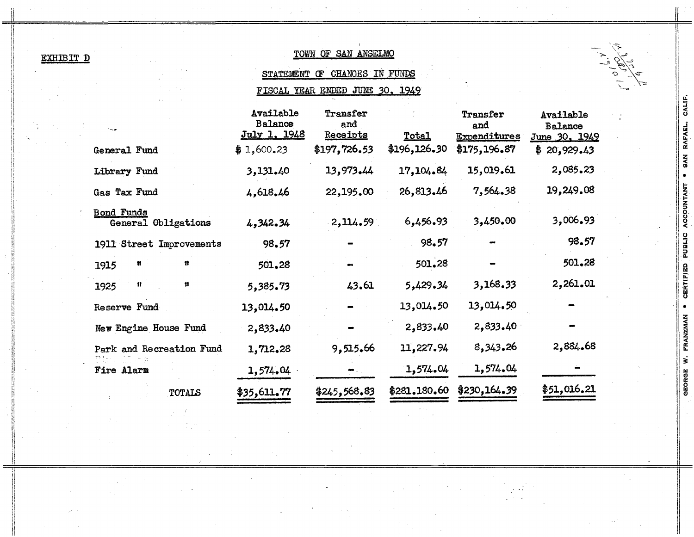| EXHIBIT |  | Ð |  |
|---------|--|---|--|
|         |  |   |  |

# TOWN OF SAN ANSELMO

# STATEMENT OF CHANGES IN FUNDS

FISCAL YEAR ENDED JUNE 30, 1949

|                                          | Available<br><b>Balance</b><br>July 1, 1948 | Transfer<br>and<br>Receipts | Total        | Transfer<br>and<br><b>Expenditures</b> | Available<br><b>Balance</b><br>June 30, 1949 |
|------------------------------------------|---------------------------------------------|-----------------------------|--------------|----------------------------------------|----------------------------------------------|
| General Fund                             | \$1,600.23                                  | \$197,726.53                | \$196,126.30 | \$175,196.87                           | \$20,929.43                                  |
| Library Fund                             | 3,131.40                                    | 13,973.44                   | 17,104.84    | 15,019.61                              | 2,085.23                                     |
| Gas Tax Fund                             | 4,618.46                                    | 22,195.00                   | 26,813.46    | 7,564.38                               | 19,249.08                                    |
| <b>Bond Funds</b><br>General Obligations | 4,342.34                                    | 2,114.59                    | 6,456.93     | 3,450.00                               | 3,006.93                                     |
| 1911 Street Improvements                 | 98.57                                       |                             | 98.57        |                                        | 98.57                                        |
| n<br>Ħ<br>1915                           | 501.28                                      |                             | 501.28       |                                        | 501.28                                       |
| 11<br>Ħ<br>1925                          | 5,385.73                                    | 43.61                       | 5,429.34     | 3,168.33                               | 2,261.01                                     |
| Reserve Fund                             | 13,014.50                                   |                             | 13,014.50    | 13,014.50                              |                                              |
| New Engine House Fund                    | 2,833.40                                    |                             | 2,833.40     | 2,833.40                               |                                              |
| Park and Recreation Fund                 | 1,712.28                                    | 9,515.66                    | 11,227.94    | 8,343.26                               | 2,884.68                                     |
| Fire Alarm                               | 1,574,04                                    |                             | 1,574.04     | 1,574.04                               |                                              |
| <b>TOTALS</b>                            | \$35,611.77                                 | \$245,568.83                | \$281.180.60 | \$230,164.39                           | \$51,016.21                                  |

GEORGE W. FRANZMAN . CERTIFIED PUBLIC ACCOUNTANT . SAN RAFAEL, CALIF.